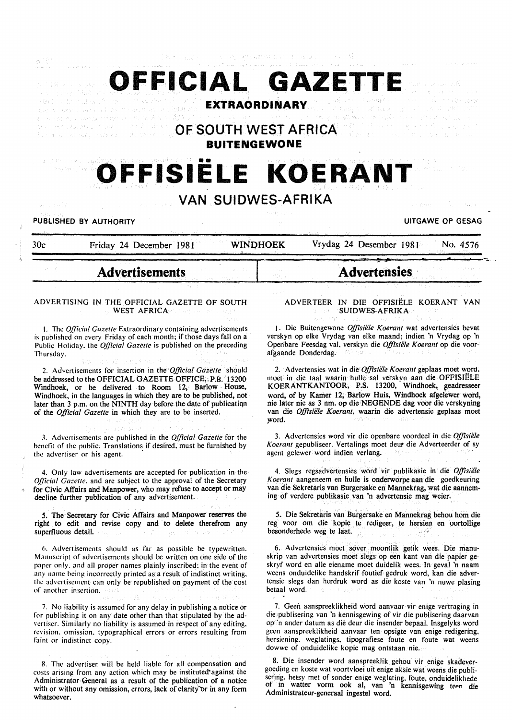Respublikan de la california

**OFFICIAL GAZETTE**  Sulphanges 19 All war to early a 1 or  $\min_{\mathcal{P}} \mathcal{P}_{\mathcal{P}} \mathcal{P}_{\mathcal{P}} \mathcal{P}_{\mathcal{P}} \mathcal{P}_{\mathcal{P}} \mathcal{P}_{\mathcal{P}} \mathcal{P}_{\mathcal{P}}$ admission that we

**EXTRAORDINARY** 

**OF SOUTH WEST AFRICA BUITENGEWONE** 

# **OFFISIELE KOERANT**

### **VAN SUIDWES-AFRIKA**

PUBLISHED BY AUTHORITY **EXECUTE A SECURE 2018** UITGAWE OP GESAG

- "-

30c Friday 24 December 1981 WINDHOEK Vrydag 24 Desember 1981 No. 4576

## **Advertisements**

#### ADVERTISING IN THE OFFICIAL GAZETTE OF SOUTH WEST AFRICA

I. The *Q((icia/ Gazette* Extraordinary containing advertisements is published on every Friday of each month; if those days fall on a Public Holiday. the *Official Gazette* is published on the preceding Thursday.

2. Advertisements for insertion in the *Official Gazette* should be addressed to the OFFICIAL GAZETTE OFFICE,: P.B. 13200 Windhoek, or be delivered to Room 12, Barlow House, Windhoek, in the languages in which they are to be published, not later than 3 p.m. on the NINTH day before the date of publicatiqn of the *Official Gazette* in which they are to be inserted.

J. Advertisements are published in the *Official Gazette* for the benefit of the public. Translations if desired. must be furnished by the advertiser or his agent.

4. Only law advertisements are accepted for publication in the *Qfficial Gazette.* and are subject to the approval of the Secretary for Civic Affairs and Manpower, who may refuse to accept or may decline further publication of any advertisement.

s.' The Secretary for Civic Affairs and Manpower reserves the right to edit and revise copy and to delete therefrom any superfluous detail.

6. Advertisements should as far as possible be typewritten. Manuscript of advertisements should be written on one side of the paper only. and all proper names plainly inscribed; in the event of any name being incorrectly printed as a result of indistinct writing. the advertisement can only be republished on payment of the cost of another insertion.

7. No liability is assumed for any delay in publishing a notice or for publishing it on any date other than that stipulated by the advertiser. Similarly no liability is assumed in respect of any editing. revision. omission. typographical errors or errors resulting from faint or indistinct copy.

8. The advertiser will be held liable for all compensation and costs arising from any action which may be instituted'against the Administrator-General as a result of the publication of a notice with or without any omission, errors, lack of clarity or in any form whatsoever.

#### ADVER TEER IN DIE OFFISIELE KOERANT VAN SUIDWES-AFRIKA

**Advertensies** ·

1. Die Buitengewone Offisiële Koerant wat advertensies bevat verskyn op elke Vrydag van elke maand; indien 'n Vrydag op 'n Openbare Feesdag val, verskyn die Offisiële Koerant op die voorafgaande Donderdag. 111377

2. Advertensies wat in die *Offisiële Koerant* geplaas moet word, moet in die taal waarin hulle sal verskyn aan die OFFISIELE KOERANTKANTOOR, P.S. 13200, Windhoek, geadresseer word, of by Kamer 12, Barlow Huis, Windhoek afgelewer word, nie later nie as 3 nm. op die NEGENDE dag voor die verskyning van die Offisiële Koerant, waarin die advertensie geplaas moet word.

3. Advertensies word vir die openbare voordeel in die *Offisiiile Koerant* gepubliseer. Vertalings moet deut die Adverteerder of sy agent gelewer word indien verlang.

4. Slegs regsadvertensies word vir publikasie in die Offisiële *Koerant* aangeneem en hulle is onderworpe aan die goedkeuring van die Sekretaris van Burgersake en Mannekrag, wat die aanneming of verdere publikasie van 'n advertensie mag weier.

5. Die Sekretaris van Burgersake en Mannekrag behou hom die reg voor om die kopie te redigeer, te hersien en oortollige besonderhede weg te Iaat.

6. Advertensies moet sover moontlik getik wees. Die manuskrip van advertensies moet slegs op een kant van die papier geskryf word en aile eiename moet duidelik wees. In geval 'n naam weens onduidelike handskrif foutief gedruk word, kan die advertensie slegs dan herdruk word as die koste van 'n nuwe plasing betaal word.

7. Geen aanspreeklikheid word aanvaar vir enige vertraging in die publisering van 'n kennisgewing of vir die publisering daarvan op 'n ander datum as die deur die insender bepaal. lnsgelyks word geen aanspreeklikheid aanvaar ten opsigte van enige redigering, hersiening. weglatings. tipografiese foute en foute wat weens dowwe of onduidelike kopie mag ontstaan nie.

8. Die insender word aanspreeklik gehou vir enige skadevergoeding en koste wat voortvloei uit enige aksie wat weens die publisering. hetsy met of sonder enige weglating, foute, onduidelikhede of in watter vorm ook al, van 'n kennisgewing teen die Administrateur-generaal ingestel word.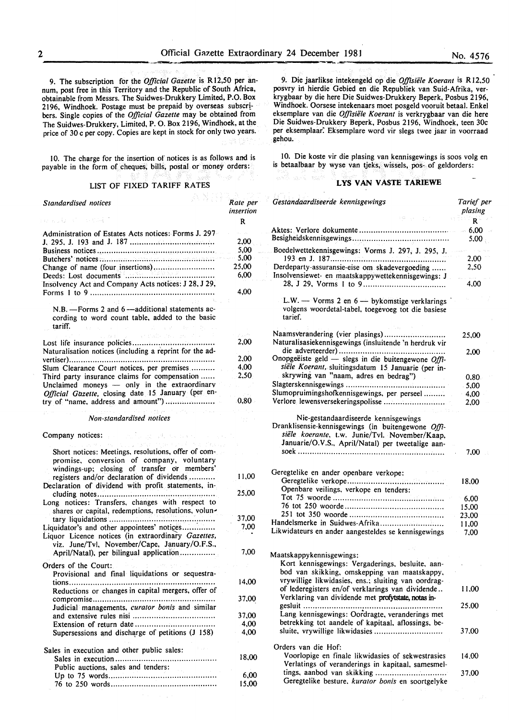9. The subscription for the *Official Gazette* is Rl2,50 per annum, post free in this Territory and the Republic of South Africa, obtainable from Messrs. The Suidwes-Drukkery Limited, P.O. Box 2196, Windhoek. Postage must be prepaid by overseas subscribers. Single copies of the *Official Gazette* may be obtained from The Suidwes-Drukkery, Limited, P. 0. Box 2196, Windhoek, at the price of 30 c per copy. Copies are kept in stock for only two years.

10. The charge for the insertion of notices is as follows and is payable in the form of cheques, bills, postal or money orders:

#### LIST OF FIXED TARIFF RATES

A MIRIDA

| あとうしん かいしょうか<br>Standardised notices<br>しゅうしもい バーム やみおこ                                                                                                                                                                            | Rate per<br>insertion |  |
|------------------------------------------------------------------------------------------------------------------------------------------------------------------------------------------------------------------------------------|-----------------------|--|
|                                                                                                                                                                                                                                    | R                     |  |
| Administration of Estates Acts notices: Forms J. 297                                                                                                                                                                               | al de                 |  |
|                                                                                                                                                                                                                                    | 2,00                  |  |
|                                                                                                                                                                                                                                    | 5,00                  |  |
|                                                                                                                                                                                                                                    | 5,00                  |  |
| Change of name (four insertions)                                                                                                                                                                                                   | 25,00                 |  |
|                                                                                                                                                                                                                                    | 6.00                  |  |
| Insolvency Act and Company Acts notices: J 28, J 29,                                                                                                                                                                               |                       |  |
|                                                                                                                                                                                                                                    | 4,00                  |  |
| N.B. - Forms 2 and 6 - additional statements ac-<br>cording to word count table, added to the basic<br>tariff.<br>and the same state of the state of the state of the state of the state of the state of the state of the state of |                       |  |
| the construction of the construction of the construction of the construction of the construction of the construction of the construction of the construction of the construction of the construction of the construction of th     | 2527                  |  |
| Naturalisation notices (including a reprint for the ad-                                                                                                                                                                            | 2,00                  |  |
|                                                                                                                                                                                                                                    | 2.00                  |  |
| Slum Clearance Court notices, per premises                                                                                                                                                                                         | 4.00                  |  |
| Third party insurance claims for compensation                                                                                                                                                                                      | 2,50                  |  |
| Unclaimed moneys - only in the extraordinary<br>Official Gazette, closing date 15 January (per en-                                                                                                                                 | in the p              |  |
|                                                                                                                                                                                                                                    | $0,80$ .              |  |
| as en la constitución amb a programa de Marco Compositores.                                                                                                                                                                        |                       |  |

graph with con-

 $\sim r_{\rm g}$ 

*Non-standardised notices* 

Company notices:

| Short notices: Meetings, resolutions, offer of com-<br>promise, conversion of company, voluntary<br>windings-up; closing of transfer or members'. |       |
|---------------------------------------------------------------------------------------------------------------------------------------------------|-------|
| registers and/or declaration of dividends                                                                                                         | 11,00 |
| Declaration of dividend with profit statements, in-<br>cluding notes                                                                              | 25,00 |
| Long notices: Transfers, changes with respect to<br>shares or capital, redemptions, resolutions, volun-                                           |       |
| tary liquidations                                                                                                                                 | 37,00 |
| Liquor Licence notices (in extraordinary Gazettes,<br>viz. June/Tvl, November/Cape, January/O.F.S.,                                               | 7,00  |
| April/Natal), per bilingual application                                                                                                           | 7.00  |
| Orders of the Court:<br>Provisional and final liquidations or sequestra-                                                                          |       |
| Reductions or changes in capital mergers, offer of                                                                                                | 14.00 |
| Judicial managements, curator bonis and similar                                                                                                   | 37,00 |
|                                                                                                                                                   | 37.00 |
|                                                                                                                                                   | 4.00  |
| Supersessions and discharge of petitions (J 158)                                                                                                  | 4,00  |
| Sales in execution and other public sales:                                                                                                        |       |
| Public auctions, sales and tenders:                                                                                                               | 18,00 |
|                                                                                                                                                   | 6.00  |
|                                                                                                                                                   | 15,00 |

9. Die jaarlikse intekengeld op die *Offisiele Koerant* is Rl2.50 posvry in hierdie Gebied en die Republiek van Suid-Afrika, verkrygbaar by die here Die Suidwes-Drukkery Beperk, Posbus 2196, Windhoek. Oorsese intekenaars moet posgeld vooruit betaal. Enkel eksemplare van die *Offisiele Koerant* is verkrygbaar van die here Die Suidwes-Drukkery Beperk, Posbus 2196, Windhoek, teen 30c per eksemplaar: Eksemplare word vir slegs twee jaar in voorraad gehou.

10. Die koste vir die plasing van kennisgewings is soos volg en is betaalbaar by wyse van tjeks, wissels, pos- of geldorders:

#### **LYS VAN VASTE TARIEWE**

| Gestandaardiseerde kennisgewings<br>(第1983年) 1975年                                                            | Tarief per<br>plasing<br>R |
|---------------------------------------------------------------------------------------------------------------|----------------------------|
|                                                                                                               | $-6,00$<br>5,00            |
| Boedelwettekennisgewings: Vorms J. 297, J. 295, J.                                                            |                            |
|                                                                                                               | 2.00                       |
| Derdeparty-assuransie-eise om skadevergoeding<br>Insolvensiewet- en maatskappywettekennisgewings: J           | 2,50                       |
|                                                                                                               | 4,00                       |
| L.W. - Vorms 2 en 6 - bykomstige verklarings<br>volgens woordetal-tabel, toegevoeg tot die basiese<br>tarief. |                            |
| Naamsverandering (vier plasings)<br>Naturalisasiekennisgewings (insluitende 'n herdruk vir                    | 25,00                      |
|                                                                                                               | 2,00                       |
| Onopgeëiste geld - slegs in die buitengewone Offi-                                                            |                            |
| siële Koerant, sluitingsdatum 15 Januarie (per in-                                                            |                            |
| skrywing van "naam, adres en bedrag")                                                                         | 0.80.                      |
|                                                                                                               | .5,00                      |
| Slumopruimingshofkennisgewings, per perseel                                                                   | 4,00                       |
| Verlore lewensversekeringspolisse                                                                             | 2,00                       |
| siële koerante, t.w. Junie/Tvl. November/Kaap,<br>Januarie/O.V.S., April/Natal) per tweetalige aan-           | 7.00                       |
| Geregtelike en ander openbare verkope:                                                                        |                            |
|                                                                                                               | 18.00                      |
| Openbare veilings, verkope en tenders:                                                                        |                            |
|                                                                                                               |                            |
|                                                                                                               | 6,00                       |
|                                                                                                               | 15,00                      |
| Handelsmerke in Suidwes-Afrika                                                                                | 23,00                      |
|                                                                                                               | 11,00                      |
| Likwidateurs en ander aangesteldes se kennisgewings                                                           | 7,00                       |
| Maatskappykennisgewings:                                                                                      |                            |
| Kort kennisgewings: Vergaderings, besluite, aan-                                                              |                            |
| bod van skikking, omskepping van maatskappy,                                                                  |                            |
| vrywillige likwidasies, ens.; sluiting van oordrag-                                                           |                            |
| of lederegisters en/of verklarings van dividende                                                              | 11,00                      |
| Verklaring van dividende met profytstate, notas in-                                                           |                            |
| gesluit                                                                                                       | 25.00                      |
| Lang kennisgewings: Oordragte, veranderings met                                                               |                            |
| betrekking tot aandele of kapitaal, aflossings, be-                                                           |                            |
| sluite, vrywillige likwidasies                                                                                | 37,00                      |
| Orders van die Hof:                                                                                           |                            |
| Voorlopige en finale likwidasies of sekwestrasies                                                             | 14.00                      |
| Verlatings of veranderings in kapitaal, samesmel-                                                             |                            |
| Geregtelike besture, kurator bonis en soortgelyke                                                             | 37,00                      |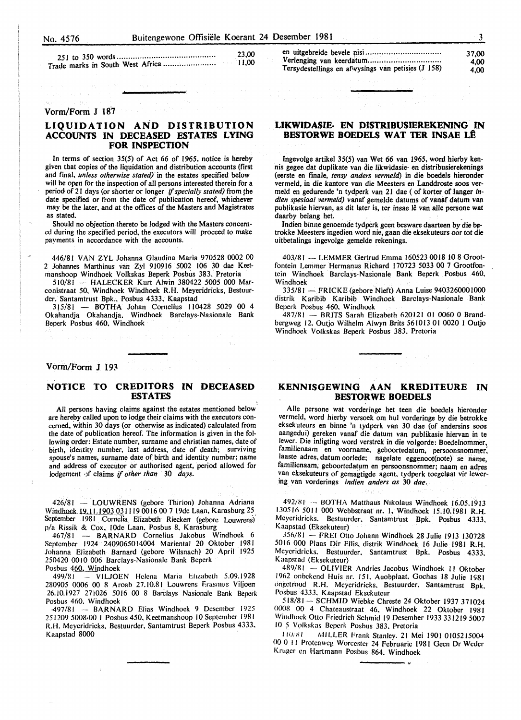| 23.00        |
|--------------|
| $\sim$ 11.00 |

#### Vorm/Form **J** 18-7

#### **LIQUIDATION AND DISTRIBUTION ACCOUNTS IN DECEASED ESTATES LYING FOR INSPECTION**

In terms of section  $35(5)$  of Act 66 of 1965, notice is hereby given that copies of the liquidation and distribution accounts (first and fmal, *unless otherwise stated)* in the estates specified below will be open for the inspection of all persons interested therein for a period of 21 days (or shorter or longer *if specially stated)* from the date specified or from the date of publication hereof, whichever may be the later, and at the offices of the Masters and Magistrates as stated.

Should no objection thereto be lodged with the Masters concerned during the specified period, the executors will proceed to make payments in accordance with the accounts.

446/81 VAN ZYL Johanna Glaudina Maria 970528 0002 00 2 Johannes Marthinus van Zyl 910916 5002 106 30 dae Keetmanshoop Windhoek Volkskas Beperk Posbus 383, Pretoria

510/81 - HALECKER Kurt Alwin 380422 5005 000 Marconistraat 50, Windhoek Windhoek R.H. Meyeridricks, Bestuurder. Santamtrust Bpk., Posbus 4333. Kaapstad

315/81 - BOTHA Johan Cornelius 110428 5029 00 4 Okahandja Okahandja, Windhoek Barclays-Nasionale Bank Beperk Posbus 460, Windhoek

#### Vorm/Form J 193

#### **NOTICE TO CREDITORS IN DECEASED ESTATES**

All persons having claims against the estates mentioned below are hereby called upon to lodge their claims with the executors concerned, within 30 days (or otherwise as indicated) calculated from the date of publication hereof. The information is given in the following order: Estate number, surname and christian names, date of birth, identity number, last address, date of death; surviving spouse's names, surname date of birth and identity number; name and address of executor or authorised agent, period allowed for lodgement •Jf claims if *other than* 30 *days.* 

426/81 - LOUWRENS (gebore Thirion) Johanna Adriana Windboek.l2.11.1903 031119 0016 00 7 19de Laan, Karasburg 25 September 1981 Cornelia Elizabeth Rieckert (gebore Louwrens) p/a Rissik & Cox, lOde Laan, Posbus 8, Karasburg

467/81 - BARNARD Cornelius Jakobus Windhoek 6 September 1924 2409065014004 Mariental 20 Oktober 1981 Johanna Elizabeth Barnard (gebore Wilsnach) 20 April 1925 250420 0010 006 Barclays-Nasionale Bank Beperk Posbus 460. Windhoek

499/81 - VILJOEN Helena Maria Etizabeth 5.09.1928 280905 0006 00 8 Aroab 27.10.81 Louwrens Erasmus Viljoen 26.10.i927 27i026 5016 00 8 Barclays Nasionale Bank Beperk Posbus 460. Windhoek

·497/81 -- BA.RNARD Elias Windhoek 9 Desember 1925 251209 5008<sub></sub>00 | Posbus 450, Keetmanshoop 10 September 1981 R.H. Meycridricks. Bestuurder. Santamtrust Beperk Posbus 4333. Kaapstad 8000

en uitgebreide bevele pisi ................................ . Verlenging van keerdatum ............................... . Tersydestellings en afwysings van petisies (J 158)

#### **LIKWIDASIE- EN DISTRIBUSIEREKENING IN BESTORWE BOEDELS WAT TER INSAE LÊ**

Ingevolge artikel 35(5) van Wet 66 van 1965, word hierby kennis gegee dat duplikate van die likwidasie- en distribusierekenings (eerste en finale, *tensy anders vermeld)* in die boedels hieronder vermeld, in die kantore van die Meesters en Landdroste soos vermeld en gedurende 'n tydperk van 21 dae (of korter of Ianger in*dien spesiaal vermeld)* vanaf gemelde datums of vanaf datum van publikasie hiervan, as dit later is, ter insae lê van alle persone wat daarby belang het.

Indien binne genoemde tydperk geen besware daarteen by die betrokke Meesters ingedien word nie, gaan die eksekuteurs oor tot die uitbetalings ingevolge gemelde rekenings.

403/81 - LEMMER Gertrud Emma 160523 0018 10 8 Grootfontein Lemmer Hermanus Richard 170723 5033 00 7 Grootfontein Windhoek Barclays-Nasionale Bank Beperk Posbus 460, Windhoek

335/81- FRICKE (gebore Nieft) Anna Luise 9403260001000 distrik Karibib Karibib Windhoek Barclays-Nasionale Bank Beperk Posbus 460. Windhoek

487/81 - BRITS Sarah Elizabeth 620121 01 0060 0 Brandbergweg 12. Outjo Wilhelm Alwyn Brits 561013 01 0020 I Outjo Windhoek Volkskas Beperk Posbus 383. Pretoria

#### **KENNISGEWING AAN KREDITEURE IN BESTORWE BOEDELS**

Aile persone wat vorderinge het teen die boedels hieronder vermeld, word hierby versoek om hul vorderinge by die betrokke eksekuteurs en binne 'n tydperk van 30 dae (of andersins soos aangedui) gereken vanaf die datum van publikasie hiervan in te lewer. Die inligting word verstrek in die volgorde: Boedelnommer, familienaam en voorname, geboortedatum, persoonsnommer; laaste adres, datum oorlede; nagelate eggenoot(note) se name, familienaam, geboortedatum en persoonsnommer; naam en adres van eksekuteurs of gemagtigde agent, tydperk toegelaat vir lewering van vorderings *indien anders as* 30 *dae.* 

492/81 -- BOTHA Matthaus Nikolaus Windhoek 16.05.1913 130516 5011 000 Webbstraat nr. I. Windhoek 15.10.1981 R.H. Meycridricks. Bestuurder. Santamtrust Bpk. Posbus 4333. Kaapstad (Eksekuteur)

356/Xl - FREI Otto Johann Windhoek 28 Julie 1913 130728 5016 000 Plaas Dir Ellis. distrik Windhoek 16 Julie 1981 R.H. Meyeridricks. Bestuurder. Santamtrust Bpk. Posbus 4333. Kaapstad (Eksekuteur)

489/81 - OLIVIER Andries Jacobus Windhoek 11 Oktober 1962 onbekend Huis nr. 151. Auobplaat. Gochas 18 Julie 1981 ongetroud R.H. Meyeridricks. Bestuurder. Santamtrust Bpk. Posbus 4333. Kaapstad Eksekuteur

518/81- SCHMID Wiebke Chreste 24 Oktober 1937 371024 0008 00 4 Chateaustraat 46. Windhoek 22 Oktober 1981 Windhoek Otto Friedrich Schmid 19 Desember 1933 331219 5007 10 5 Volkskas Beperk Posbus 383. Pretoria

I *lilt XI* /\IlLLER Frank Stanlev. 21 Mei 1901 0105215004 00 0 II Proteaweg Worcester 24 Februarie 1981 Geen Dr Weder Kruger en Hartmann Posbus 864, Windhoek

37,00 4,00 4,00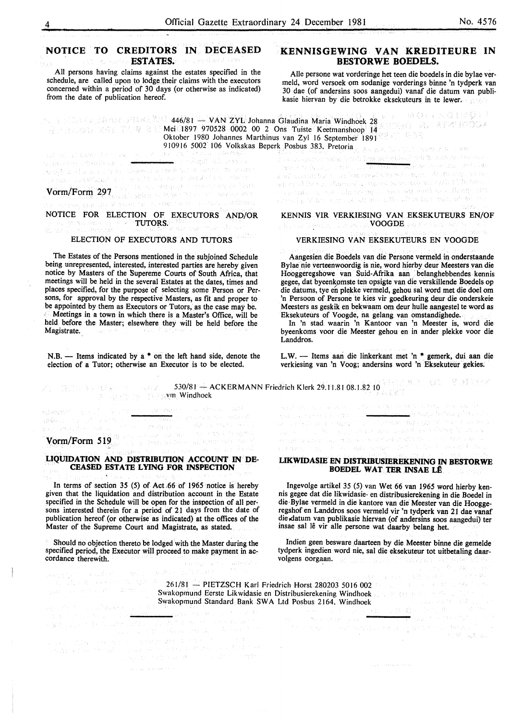#### **NOTICE TO CREDITORS IN DECEASED ESTATES.**

All persons having claims against the estates specified in the schedule, are called upon to lodge their claims with the executors concerned within a period of 30 days (or otherwise as indicated) from the date of publication hereof.

#### **KENNISGEWING VAN KREDITEURE IN BESTORWE BOEDELS.**

Aile persone wat vorderinge het teen die boedels in die bylae vermeld, word versoek om sodanige vorderings binne 'n tydperk van 30 dae (of andersins soos aangedui) vanaf die datum van publikasie hiervan by die betrokke eksekuteurs in te lewer.

MON AGUST! 446/81 - VAN ZYL Johanna Glaudina Maria Windhoek 28 Mei 1897 970528 0002 00 2 Ons Tuiste Keetmanshoop 14 Oktober 1980 Johannes Marthinus van Zyl 16 September 1891

as all change for law and of yras yn ytraddiwm y <del>sei</del> a singst at rayer. Vorm/Form 297, the state of the company of the company of the company of the company of the company of the company of the company of the company of the company of the company of the company of the company of the company of

a di secolul de la comunitativa de la capacità del conservació de l'altres de l'altre de l'altre de l'altre de<br>La capacità de la capacità de l'altre de l'altre de l'altre de l'altre de l'altre de l'altre de l'altre de l'a NOTICE FOR ELECTION OF EXECUTORS AND/OR

**TUTORS.** asteromo.<br>Igrej opportuur ofta ka

#### ELECTION OF EXECUTORS AND TUTORS

The Estates of the Persons mentioned in the subjoined Schedule being unrepresented, interested, interested parties are hereby given notice by Masters of the Supereme Courts of South Africa, that meetings will be held in the several Estates at the dates, times and places specified, for the purpose of selecting some Person or Persons, for approval by the respective Masters, as fit and proper to be appointed by them as Executors or Tutors, as the case may be. Meetings in a town in which there is a Master's Office, will be held before the Master; elsewhere they will be held before the Magistrate.

 $N.B.$  - Items indicated by a  $*$  on the left hand side, denote the election of a Tutor; otherwise an Executor is to be elected.

.<br><mark>San seba</mark>ng menggunakan pada salah salah salah salah salah salah salah salah salah salah salah salah salah sala

an<br>1980 - Andrew Sterling, Amerikaansk konstning<br>1980 - Andrew Sterling, Amerikaansk konstning a de la componentación de la componentación de la componentación de la componentación de la componentación de<br>Marco de la componentación de la componentación de la componentación de la componentación de la componentación<br>M

a componenta de la parte de la componenta<br>a componenta de la parte de la componenta de la componenta de la componenta de la componenta de la componenta<br>a parte de la componenta de la componenta de la componenta de la compo

910916 5002 I 06 Volkskas Beperk Posbus 383. Pretoria e<br>Gander en staan (1944), Dag g Persia i Vilare se presia del 1960 e a 1960 altros bancoreano admást

KENNIS VIR VERKIESING VAN EKSEKUTEURS EN/OF Voor de Seens voor die Arte en 2000 <mark>voor Belgiste en 200</mark>0 van de Se

#### VERKIESING VAN EKSEKUTEURS EN VOOGDE

Aangesien die Boedels van die Persone vermeld in onderstaande Bylae nie verteenwoordig is nie, word hierby deur Meesters van die Hooggeregshowe van Suid-Afrika aan · belanghebbendes kennis gegee, dat byeenkomste ten opsigte van die verskillende Boedels op die datums, tye en plekke vermeld, gehou sal word met die doe! om 'n Persoon of Persone te kies vir goedkeuring deur die onderskeie Meesters as geskik en bekwaam om deur hulle aangestel te word as Eksekuteurs of Voogde, na gelang van omstandighede.

In 'n stad waarin 'n Kantoor van 'n Meester is, word die byeenkoms voor die Meester gehou en in ander plekke voor die Landdros.

L.W. - Items aan die linkerkant met 'n \* gemerk, dui aan die verkiesing van 'n Voog; andersins word 'n Eksekuteur gekies.

Manager State State 530/81 -ACKERMANN Friedrich Klerk 29.11.81 08.1.82 10 . vrn Windhoek

end all the service states of

# **Vorm/Form 519**

e e constata della<br>Terra della constata

图1000000000000 网络金色 经原始

#### **LIQUIDATION AND DISTRIBUTION ACCOUNT IN DE-CEASED ESTATE LYING FOR INSPECTION**

In terms of section 35 (5) of Act .66 of 1965 notice is hereby given that the liquidation and distribution account in the Estate specified in the Schedule will be open for the inspection of all persons interested therein for a period of 21 days from the date of publication hereof (or otherwise as indicated) at the offices of the Master of the Supreme Court and Magistrate, as stated.

Should no objection thereto be lodged with the Master during the specified period, the Executor will proceed to make payment in ac- cordance therewith. i saka menjudi di sebagai menjudi sebagai sama dan banyak di saka dan Afrika (di sebagai sebagai sebagai sebag<br>Menukat dan sebelah dasal menutus dan di sebagai sebagai membutkan dan di sebagai sebagai sebagai sebagai seba<br> **LIKWIDASIE EN DISTRIBUSIEREKENING IN BESTORWE BOEDEL WAT TER INSAE LÊ** 

e se política de la campana.<br>Para la propia de la campana de la campana de la política de la campana de la campana de la campana de la camp<br>Para la campana de la campana de la campana de la campana de la campana de la camp

ي منتظرفي عربية في

 $\mathcal{N}_1, \mathcal{N}_2$  ,  $\mathcal{N}_2$  ,  $\mathcal{N}_3$ 

Ingevolge artikel 35 (5) van Wet 66 van 1965 word hierby kennis gegee dat die likwidasie- en distribusierekening in die Boedel in die·Bylae vermeld in die kantore van die Meester van die Hooggeregshof en Landdros soos vermeld vir 'n tydperk van 21 dae vanaf die datum van publikasie hiervan (of andersins soos aangedui) ter insae sal le vir aile persone wat daarby belang het.

Indien geen besware daarteen by die Meester binne die gemelde tydperk ingedien word nie, sal die eksekuteur tot uitbetaling daarvolgens oorgaan. We have the same that we are the set of

261/81 - PIETZSCH Karl Friedrich Horst 280203 5016 002 Swakopmund Eerste Likwidasie en Distribusierekening Windhoek Swakoprnund Standard Bank SW A Ltd Posbus 2164. Windhoek